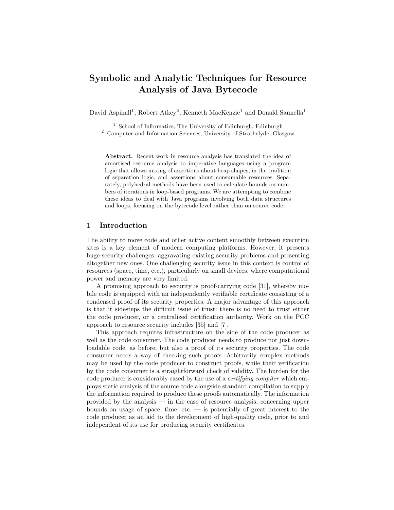# Symbolic and Analytic Techniques for Resource Analysis of Java Bytecode

David Aspinall<sup>1</sup>, Robert Atkey<sup>2</sup>, Kenneth MacKenzie<sup>1</sup> and Donald Sannella<sup>1</sup>

<sup>1</sup> School of Informatics, The University of Edinburgh, Edinburgh

<sup>2</sup> Computer and Information Sciences, University of Strathclyde, Glasgow

Abstract. Recent work in resource analysis has translated the idea of amortised resource analysis to imperative languages using a program logic that allows mixing of assertions about heap shapes, in the tradition of separation logic, and assertions about consumable resources. Separately, polyhedral methods have been used to calculate bounds on numbers of iterations in loop-based programs. We are attempting to combine these ideas to deal with Java programs involving both data structures and loops, focusing on the bytecode level rather than on source code.

# 1 Introduction

The ability to move code and other active content smoothly between execution sites is a key element of modern computing platforms. However, it presents huge security challenges, aggravating existing security problems and presenting altogether new ones. One challenging security issue in this context is control of resources (space, time, etc.), particularly on small devices, where computational power and memory are very limited.

A promising approach to security is proof-carrying code [31], whereby mobile code is equipped with an independently verifiable certificate consisting of a condensed proof of its security properties. A major advantage of this approach is that it sidesteps the difficult issue of trust: there is no need to trust either the code producer, or a centralized certification authority. Work on the PCC approach to resource security includes [35] and [7].

This approach requires infrastructure on the side of the code producer as well as the code consumer. The code producer needs to produce not just downloadable code, as before, but also a proof of its security properties. The code consumer needs a way of checking such proofs. Arbitrarily complex methods may be used by the code producer to construct proofs, while their verification by the code consumer is a straightforward check of validity. The burden for the code producer is considerably eased by the use of a certifying compiler which employs static analysis of the source code alongside standard compilation to supply the information required to produce these proofs automatically. The information provided by the analysis — in the case of resource analysis, concerning upper bounds on usage of space, time, etc. — is potentially of great interest to the code producer as an aid to the development of high-quality code, prior to and independent of its use for producing security certificates.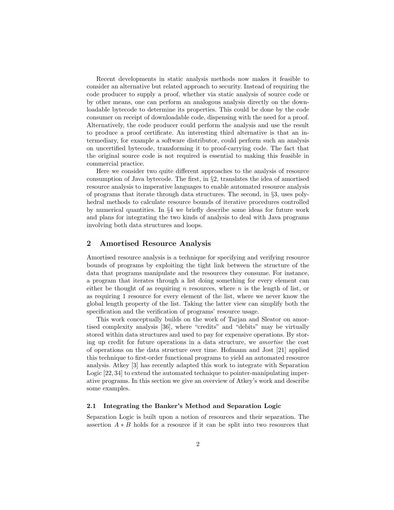Recent developments in static analysis methods now makes it feasible to consider an alternative but related approach to security. Instead of requiring the code producer to supply a proof, whether via static analysis of source code or by other means, one can perform an analogous analysis directly on the downloadable bytecode to determine its properties. This could be done by the code consumer on receipt of downloadable code, dispensing with the need for a proof. Alternatively, the code producer could perform the analysis and use the result to produce a proof certificate. An interesting third alternative is that an intermediary, for example a software distributor, could perform such an analysis on uncertified bytecode, transforming it to proof-carrying code. The fact that the original source code is not required is essential to making this feasible in commercial practice.

Here we consider two quite different approaches to the analysis of resource consumption of Java bytecode. The first, in §2, translates the idea of amortised resource analysis to imperative languages to enable automated resource analysis of programs that iterate through data structures. The second, in §3, uses polyhedral methods to calculate resource bounds of iterative procedures controlled by numerical quantities. In §4 we briefly describe some ideas for future work and plans for integrating the two kinds of analysis to deal with Java programs involving both data structures and loops.

## 2 Amortised Resource Analysis

Amortised resource analysis is a technique for specifying and verifying resource bounds of programs by exploiting the tight link between the structure of the data that programs manipulate and the resources they consume. For instance, a program that iterates through a list doing something for every element can either be thought of as requiring n resources, where  $n$  is the length of list, or as requiring 1 resource for every element of the list, where we never know the global length property of the list. Taking the latter view can simplify both the specification and the verification of programs' resource usage.

This work conceptually builds on the work of Tarjan and Sleator on amortised complexity analysis [36], where "credits" and "debits" may be virtually stored within data structures and used to pay for expensive operations. By storing up credit for future operations in a data structure, we amortise the cost of operations on the data structure over time. Hofmann and Jost [21] applied this technique to first-order functional programs to yield an automated resource analysis. Atkey [3] has recently adapted this work to integrate with Separation Logic [22, 34] to extend the automated technique to pointer-manipulating imperative programs. In this section we give an overview of Atkey's work and describe some examples.

#### 2.1 Integrating the Banker's Method and Separation Logic

Separation Logic is built upon a notion of resources and their separation. The assertion  $A * B$  holds for a resource if it can be split into two resources that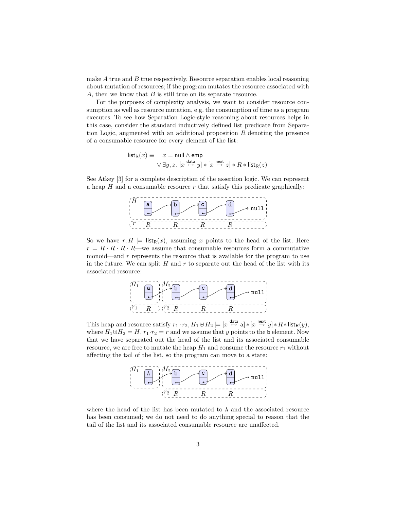make A true and B true respectively. Resource separation enables local reasoning about mutation of resources; if the program mutates the resource associated with A, then we know that  $B$  is still true on its separate resource.

For the purposes of complexity analysis, we want to consider resource consumption as well as resource mutation, e.g. the consumption of time as a program executes. To see how Separation Logic-style reasoning about resources helps in this case, consider the standard inductively defined list predicate from Separation Logic, augmented with an additional proposition  $R$  denoting the presence of a consumable resource for every element of the list:

$$
\begin{array}{lll} \text{list}_{\mathsf{R}}(x) \equiv & x = \text{null} \land \text{emp} \\ & \lor \exists y, z. \ [x \stackrel{\text{data}}{\mapsto} y] * [x \stackrel{\text{next}}{\mapsto} z] * R * \text{list}_{\mathsf{R}}(z) \end{array}
$$

See Atkey [3] for a complete description of the assertion logic. We can represent a heap  $H$  and a consumable resource  $r$  that satisfy this predicate graphically:



So we have  $r, H \models \text{list}_{R}(x)$ , assuming x points to the head of the list. Here  $r = R \cdot R \cdot R -$  we assume that consumable resources form a commutative monoid—and  $r$  represents the resource that is available for the program to use in the future. We can split  $H$  and  $r$  to separate out the head of the list with its associated resource:



This heap and resource satisfy  $r_1 \cdot r_2$ ,  $H_1 \uplus H_2 \models [x \stackrel{\text{data}}{\mapsto} a] * [x \stackrel{\text{next}}{\mapsto} y] * R * \mathsf{list}_{R}(y)$ , where  $H_1 \oplus H_2 = H$ ,  $r_1 \cdot r_2 = r$  and we assume that y points to the b element. Now that we have separated out the head of the list and its associated consumable resource, we are free to mutate the heap  $H_1$  and consume the resource  $r_1$  without affecting the tail of the list, so the program can move to a state:



where the head of the list has been mutated to A and the associated resource has been consumed; we do not need to do anything special to reason that the tail of the list and its associated consumable resource are unaffected.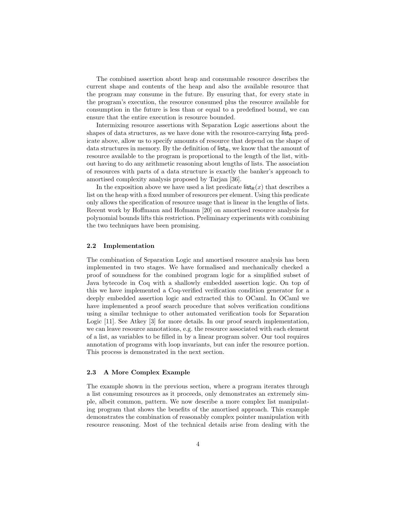The combined assertion about heap and consumable resource describes the current shape and contents of the heap and also the available resource that the program may consume in the future. By ensuring that, for every state in the program's execution, the resource consumed plus the resource available for consumption in the future is less than or equal to a predefined bound, we can ensure that the entire execution is resource bounded.

Intermixing resource assertions with Separation Logic assertions about the shapes of data structures, as we have done with the resource-carrying  $\mathsf{list}_R$  predicate above, allow us to specify amounts of resource that depend on the shape of data structures in memory. By the definition of  $list_R$ , we know that the amount of resource available to the program is proportional to the length of the list, without having to do any arithmetic reasoning about lengths of lists. The association of resources with parts of a data structure is exactly the banker's approach to amortised complexity analysis proposed by Tarjan [36].

In the exposition above we have used a list predicate  $\mathsf{list}_R(x)$  that describes a list on the heap with a fixed number of resources per element. Using this predicate only allows the specification of resource usage that is linear in the lengths of lists. Recent work by Hoffmann and Hofmann [20] on amortised resource analysis for polynomial bounds lifts this restriction. Preliminary experiments with combining the two techniques have been promising.

#### 2.2 Implementation

The combination of Separation Logic and amortised resource analysis has been implemented in two stages. We have formalised and mechanically checked a proof of soundness for the combined program logic for a simplified subset of Java bytecode in Coq with a shallowly embedded assertion logic. On top of this we have implemented a Coq-verified verification condition generator for a deeply embedded assertion logic and extracted this to OCaml. In OCaml we have implemented a proof search procedure that solves verification conditions using a similar technique to other automated verification tools for Separation Logic [11]. See Atkey [3] for more details. In our proof search implementation, we can leave resource annotations, e.g. the resource associated with each element of a list, as variables to be filled in by a linear program solver. Our tool requires annotation of programs with loop invariants, but can infer the resource portion. This process is demonstrated in the next section.

## 2.3 A More Complex Example

The example shown in the previous section, where a program iterates through a list consuming resources as it proceeds, only demonstrates an extremely simple, albeit common, pattern. We now describe a more complex list manipulating program that shows the benefits of the amortised approach. This example demonstrates the combination of reasonably complex pointer manipulation with resource reasoning. Most of the technical details arise from dealing with the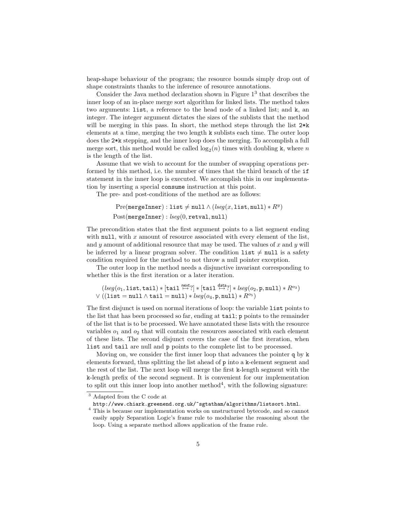heap-shape behaviour of the program; the resource bounds simply drop out of shape constraints thanks to the inference of resource annotations.

Consider the Java method declaration shown in Figure  $1<sup>3</sup>$  that describes the inner loop of an in-place merge sort algorithm for linked lists. The method takes two arguments: list, a reference to the head node of a linked list; and k, an integer. The integer argument dictates the sizes of the sublists that the method will be merging in this pass. In short, the method steps through the list  $2*k$ elements at a time, merging the two length k sublists each time. The outer loop does the 2\*k stepping, and the inner loop does the merging. To accomplish a full merge sort, this method would be called  $log_2(n)$  times with doubling **k**, where n is the length of the list.

Assume that we wish to account for the number of swapping operations performed by this method, i.e. the number of times that the third branch of the if statement in the inner loop is executed. We accomplish this in our implementation by inserting a special consume instruction at this point.

The pre- and post-conditions of the method are as follows:

```
Pre(mergeInner) : list \neq null \land (lseg(x,list, null) * R<sup>y</sup>)Post(mergeInner) : lseq(0,retval, null)
```
The precondition states that the first argument points to a list segment ending with null, with  $x$  amount of resource associated with every element of the list, and  $y$  amount of additional resource that may be used. The values of  $x$  and  $y$  will be inferred by a linear program solver. The condition list  $\neq$  null is a safety condition required for the method to not throw a null pointer exception.

The outer loop in the method needs a disjunctive invariant corresponding to whether this is the first iteration or a later iteration.

```
({\it lseg}(o_1, {\tt list}, {\tt tail}) * [{\tt tail} \stackrel{\sf next}{\mapsto} ?] * [{\tt tail} \stackrel{\sf data}{\mapsto} ?] * {\it lseg}(o_2, {\tt p}, {\tt null}) * R^{o_3})\vee ((\mathtt{list} = \mathtt{null} \wedge \mathtt{tail} = \mathtt{null})* \mathit{lseg}(o_4, \mathtt{p}, \mathtt{null})*R^{o_5})
```
The first disjunct is used on normal iterations of loop: the variable list points to the list that has been processed so far, ending at tail; p points to the remainder of the list that is to be processed. We have annotated these lists with the resource variables  $o_1$  and  $o_2$  that will contain the resources associated with each element of these lists. The second disjunct covers the case of the first iteration, when list and tail are null and p points to the complete list to be processed.

Moving on, we consider the first inner loop that advances the pointer q by k elements forward, thus splitting the list ahead of p into a k-element segment and the rest of the list. The next loop will merge the first k-length segment with the k-length prefix of the second segment. It is convenient for our implementation to split out this inner loop into another method<sup>4</sup>, with the following signature:

<sup>3</sup> Adapted from the C code at

http://www.chiark.greenend.org.uk/~sgtatham/algorithms/listsort.html.

<sup>&</sup>lt;sup>4</sup> This is because our implementation works on unstructured bytecode, and so cannot easily apply Separation Logic's frame rule to modularise the reasoning about the loop. Using a separate method allows application of the frame rule.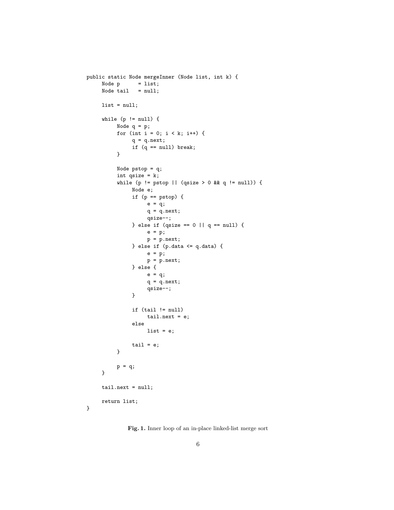```
public static Node mergeInner (Node list, int k) {
    Node p = list;Node tail = null;list = null;
    while (p := null) {
         Node q = p;
         for (int i = 0; i < k; i++) {
              q = q.next;if (q == null) break;
         }
         Node pstop = q;
         int qsize = k;
         while (p := pstop || (qsize > 0 & q := null)) {
              Node e;
              if (p == pstop) {
                   e = q;
                   q = q.next;
                   qsize--;
              } else if (qsize == 0 || q == null) {
                   e = p;p = p.next;
              } else if (p.data <= q.data) {
                   e = p;p = p.next;
              } else {
                   e = q;q = q.next;qsize--;
              }
              if (tail != null)
                   tail.next = e;
              else
                   list = e;tail = e;
         }
         p = q;}
    tail.next = null;
    return list;
}
```
Fig. 1. Inner loop of an in-place linked-list merge sort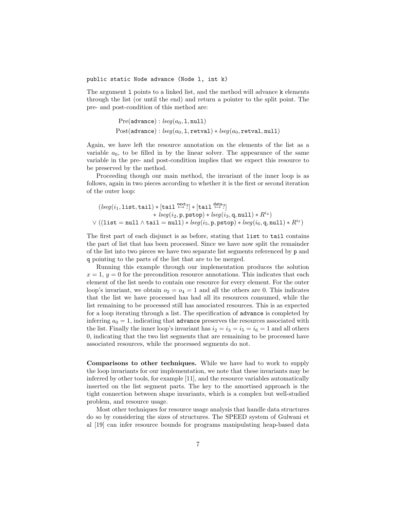public static Node advance (Node l, int k)

The argument l points to a linked list, and the method will advance k elements through the list (or until the end) and return a pointer to the split point. The pre- and post-condition of this method are:

$$
Pre(advance): lseg(a_0, 1, null)
$$
  
Post(advance): lseg(a\_0, 1, retval) \* lseg(a\_0, retval, null)

Again, we have left the resource annotation on the elements of the list as a variable  $a_0$ , to be filled in by the linear solver. The appearance of the same variable in the pre- and post-condition implies that we expect this resource to be preserved by the method.

Proceeding though our main method, the invariant of the inner loop is as follows, again in two pieces according to whether it is the first or second iteration of the outer loop:

$$
(lseg(i_1, list, tail) * [tail \stackrel{\text{next}}{\mapsto} ?] * [tail \stackrel{\text{data}}{\mapsto} ?]
$$
  
\n
$$
* lseg(i_2, p, pstop) * lseg(i_3, q, null) * R^{i_4})
$$
  
\n
$$
\vee ((list = null \land tail = null) * lseg(i_5, p, pstop) * lseg(i_6, q, null) * R^{i_7})
$$

The first part of each disjunct is as before, stating that list to tail contains the part of list that has been processed. Since we have now split the remainder of the list into two pieces we have two separate list segments referenced by p and q pointing to the parts of the list that are to be merged.

Running this example through our implementation produces the solution  $x = 1, y = 0$  for the precondition resource annotations. This indicates that each element of the list needs to contain one resource for every element. For the outer loop's invariant, we obtain  $o_2 = o_4 = 1$  and all the others are 0. This indicates that the list we have processed has had all its resources consumed, while the list remaining to be processed still has associated resources. This is as expected for a loop iterating through a list. The specification of advance is completed by inferring  $a_0 = 1$ , indicating that **advance** preserves the resources associated with the list. Finally the inner loop's invariant has  $i_2 = i_3 = i_5 = i_6 = 1$  and all others 0, indicating that the two list segments that are remaining to be processed have associated resources, while the processed segments do not.

Comparisons to other techniques. While we have had to work to supply the loop invariants for our implementation, we note that these invariants may be inferred by other tools, for example [11], and the resource variables automatically inserted on the list segment parts. The key to the amortised approach is the tight connection between shape invariants, which is a complex but well-studied problem, and resource usage.

Most other techniques for resource usage analysis that handle data structures do so by considering the sizes of structures. The SPEED system of Gulwani et al [19] can infer resource bounds for programs manipulating heap-based data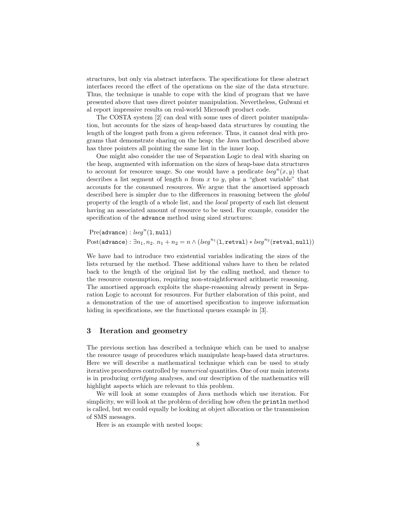structures, but only via abstract interfaces. The specifications for these abstract interfaces record the effect of the operations on the size of the data structure. Thus, the technique is unable to cope with the kind of program that we have presented above that uses direct pointer manipulation. Nevertheless, Gulwani et al report impressive results on real-world Microsoft product code.

The COSTA system [2] can deal with some uses of direct pointer manipulation, but accounts for the sizes of heap-based data structures by counting the length of the longest path from a given reference. Thus, it cannot deal with programs that demonstrate sharing on the heap; the Java method described above has three pointers all pointing the same list in the inner loop.

One might also consider the use of Separation Logic to deal with sharing on the heap, augmented with information on the sizes of heap-base data structures to account for resource usage. So one would have a predicate  $lseg^{n}(x, y)$  that describes a list segment of length n from x to y, plus a "ghost variable" that accounts for the consumed resources. We argue that the amortised approach described here is simpler due to the differences in reasoning between the *global* property of the length of a whole list, and the local property of each list element having an associated amount of resource to be used. For example, consider the specification of the advance method using sized structures:

 $Pre(advance): lseg^n(1, null)$  $\text{Post}(\texttt{advance}): \exists n_1, n_2.\ n_1 + n_2 = n \land (lseg^{n_1}(\texttt{l}, \texttt{retval}) * lseg^{n_2}(\texttt{retval}, \texttt{null}))$ 

We have had to introduce two existential variables indicating the sizes of the lists returned by the method. These additional values have to then be related back to the length of the original list by the calling method, and thence to the resource consumption, requiring non-straightforward arithmetic reasoning. The amortised approach exploits the shape-reasoning already present in Separation Logic to account for resources. For further elaboration of this point, and a demonstration of the use of amortised specification to improve information hiding in specifications, see the functional queues example in [3].

## 3 Iteration and geometry

The previous section has described a technique which can be used to analyse the resource usage of procedures which manipulate heap-based data structures. Here we will describe a mathematical technique which can be used to study iterative procedures controlled by numerical quantities. One of our main interests is in producing certifying analyses, and our description of the mathematics will highlight aspects which are relevant to this problem.

We will look at some examples of Java methods which use iteration. For simplicity, we will look at the problem of deciding how often the println method is called, but we could equally be looking at object allocation or the transmission of SMS messages.

Here is an example with nested loops: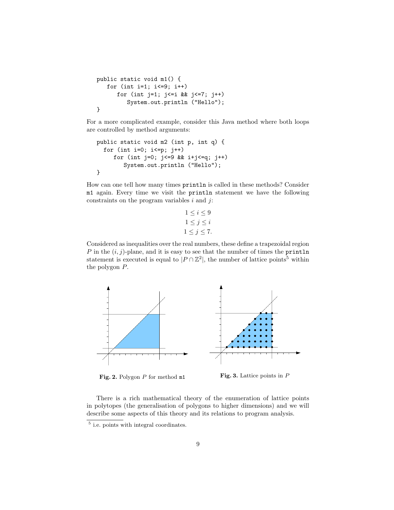```
public static void m1() {
   for (int i=1; i<=9; i++)
      for (int j=1; j<=i && j<=7; j++)System.out.println ("Hello");
}
```
For a more complicated example, consider this Java method where both loops are controlled by method arguments:

```
public static void m2 (int p, int q) {
  for (int i=0; i < = p; j++)for (int j=0; j<=9 && i+j<=q; j++)System.out.println ("Hello");
}
```
How can one tell how many times println is called in these methods? Consider m1 again. Every time we visit the println statement we have the following constraints on the program variables  $i$  and  $j$ :

$$
1 \leq i \leq 9
$$
  

$$
1 \leq j \leq i
$$
  

$$
1 \leq j \leq 7.
$$

Considered as inequalities over the real numbers, these define a trapezoidal region P in the  $(i, j)$ -plane, and it is easy to see that the number of times the println statement is executed is equal to  $|P \cap \mathbb{Z}^2|$ , the number of lattice points<sup>5</sup> within the polygon P.



Fig. 2. Polygon P for method  $m1$  Fig. 3. Lattice points in P

There is a rich mathematical theory of the enumeration of lattice points in polytopes (the generalisation of polygons to higher dimensions) and we will describe some aspects of this theory and its relations to program analysis.

<sup>5</sup> i.e. points with integral coordinates.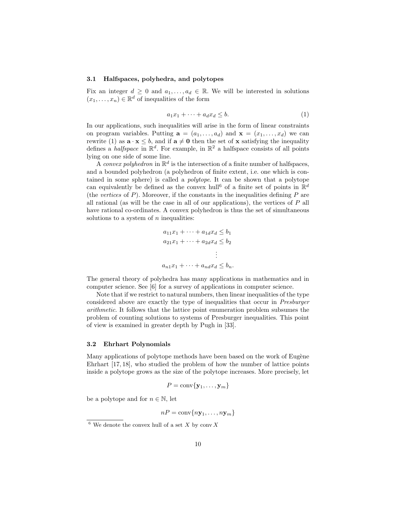#### 3.1 Halfspaces, polyhedra, and polytopes

Fix an integer  $d \geq 0$  and  $a_1, \ldots, a_d \in \mathbb{R}$ . We will be interested in solutions  $(x_1, \ldots, x_n) \in \mathbb{R}^d$  of inequalities of the form

$$
a_1x_1 + \dots + a_dx_d \le b. \tag{1}
$$

In our applications, such inequalities will arise in the form of linear constraints on program variables. Putting  $\mathbf{a} = (a_1, \ldots, a_d)$  and  $\mathbf{x} = (x_1, \ldots, x_d)$  we can rewrite (1) as  $\mathbf{a} \cdot \mathbf{x} \leq b$ , and if  $\mathbf{a} \neq \mathbf{0}$  then the set of x satisfying the inequality defines a *halfspace* in  $\mathbb{R}^d$ . For example, in  $\mathbb{R}^2$  a halfspace consists of all points lying on one side of some line.

A convex polyhedron in  $\mathbb{R}^d$  is the intersection of a finite number of halfspaces, and a bounded polyhedron (a polyhedron of finite extent, i.e. one which is contained in some sphere) is called a polytope. It can be shown that a polytope can equivalently be defined as the convex hull<sup>6</sup> of a finite set of points in  $\mathbb{R}^d$ (the vertices of  $P$ ). Moreover, if the constants in the inequalities defining  $P$  are all rational (as will be the case in all of our applications), the vertices of  $P$  all have rational co-ordinates. A convex polyhedron is thus the set of simultaneous solutions to a system of  $n$  inequalities:

$$
a_{11}x_1 + \dots + a_{1d}x_d \le b_1
$$
  
\n
$$
a_{21}x_1 + \dots + a_{2d}x_d \le b_2
$$
  
\n
$$
\vdots
$$
  
\n
$$
a_{n1}x_1 + \dots + a_{nd}x_d \le b_n.
$$

The general theory of polyhedra has many applications in mathematics and in computer science. See [6] for a survey of applications in computer science.

Note that if we restrict to natural numbers, then linear inequalities of the type considered above are exactly the type of inequalities that occur in Presburger arithmetic. It follows that the lattice point enumeration problem subsumes the problem of counting solutions to systems of Presburger inequalities. This point of view is examined in greater depth by Pugh in [33].

#### 3.2 Ehrhart Polynomials

Many applications of polytope methods have been based on the work of Eugène Ehrhart [17, 18], who studied the problem of how the number of lattice points inside a polytope grows as the size of the polytope increases. More precisely, let

$$
P = \text{conv}\{\mathbf{y}_1, \dots, \mathbf{y}_m\}
$$

be a polytope and for  $n \in \mathbb{N}$ , let

$$
nP = \text{conv}\{n\mathbf{y}_1, \dots, n\mathbf{y}_m\}
$$

 $6$  We denote the convex hull of a set X by conv X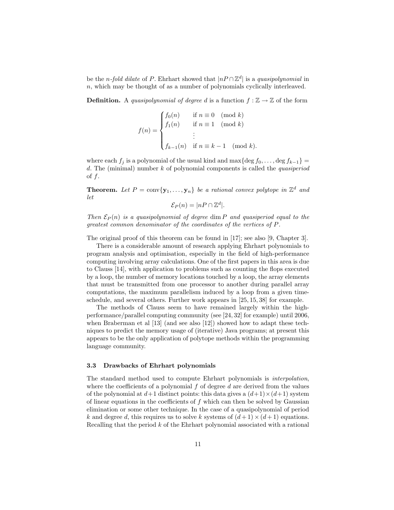be the *n-fold dilate* of P. Ehrhart showed that  $|nP \cap \mathbb{Z}^d|$  is a *quasipolynomial* in n, which may be thought of as a number of polynomials cyclically interleaved.

**Definition.** A quasipolynomial of degree d is a function  $f : \mathbb{Z} \to \mathbb{Z}$  of the form

$$
f(n) = \begin{cases} f_0(n) & \text{if } n \equiv 0 \pmod{k} \\ f_1(n) & \text{if } n \equiv 1 \pmod{k} \\ \vdots \\ f_{k-1}(n) & \text{if } n \equiv k-1 \pmod{k} \end{cases}
$$

where each  $f_i$  is a polynomial of the usual kind and max{deg  $f_0, \ldots, \deg f_{k-1}$ } = d. The (minimal) number  $k$  of polynomial components is called the *quasiperiod* of  $f$ .

**Theorem.** Let  $P = \text{conv}\{\mathbf{y}_1, \ldots, \mathbf{y}_n\}$  be a rational convex polytope in  $\mathbb{Z}^d$  and let

$$
\mathcal{E}_P(n) = |nP \cap \mathbb{Z}^d|.
$$

Then  $\mathcal{E}_P(n)$  is a quasipolynomial of degree dim P and quasiperiod equal to the greatest common denominator of the coordinates of the vertices of P.

The original proof of this theorem can be found in [17]; see also [9, Chapter 3].

There is a considerable amount of research applying Ehrhart polynomials to program analysis and optimisation, especially in the field of high-performance computing involving array calculations. One of the first papers in this area is due to Clauss [14], with application to problems such as counting the flops executed by a loop, the number of memory locations touched by a loop, the array elements that must be transmitted from one processor to another during parallel array computations, the maximum parallelism induced by a loop from a given timeschedule, and several others. Further work appears in [25, 15, 38] for example.

The methods of Clauss seem to have remained largely within the highperformance/parallel computing community (see [24, 32] for example) until 2006, when Braberman et al [13] (and see also [12]) showed how to adapt these techniques to predict the memory usage of (iterative) Java programs; at present this appears to be the only application of polytope methods within the programming language community.

## 3.3 Drawbacks of Ehrhart polynomials

The standard method used to compute Ehrhart polynomials is interpolation, where the coefficients of a polynomial  $f$  of degree  $d$  are derived from the values of the polynomial at  $d+1$  distinct points: this data gives a  $(d+1)\times(d+1)$  system of linear equations in the coefficients of  $f$  which can then be solved by Gaussian elimination or some other technique. In the case of a quasipolynomial of period k and degree d, this requires us to solve k systems of  $(d+1) \times (d+1)$  equations. Recalling that the period  $k$  of the Ehrhart polynomial associated with a rational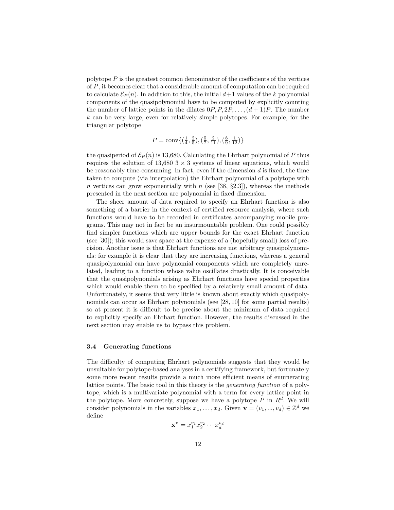polytope  $P$  is the greatest common denominator of the coefficients of the vertices of P, it becomes clear that a considerable amount of computation can be required to calculate  $\mathcal{E}_P(n)$ . In addition to this, the initial  $d+1$  values of the k polynomial components of the quasipolynomial have to be computed by explicitly counting the number of lattice points in the dilates  $0P, P, 2P, \ldots, (d+1)P$ . The number  $k$  can be very large, even for relatively simple polytopes. For example, for the triangular polytope

$$
P = \text{conv}\left\{ \left(\frac{1}{4}, \frac{2}{5}\right), \left(\frac{5}{7}, \frac{2}{11}\right), \left(\frac{8}{9}, \frac{1}{12}\right) \right\}
$$

the quasiperiod of  $\mathcal{E}_P(n)$  is 13,680. Calculating the Ehrhart polynomial of P thus requires the solution of  $13,680$   $3 \times 3$  systems of linear equations, which would be reasonably time-consuming. In fact, even if the dimension  $d$  is fixed, the time taken to compute (via interpolation) the Ehrhart polynomial of a polytope with n vertices can grow exponentially with n (see [38,  $\S 2.3$ ]), whereas the methods presented in the next section are polynomial in fixed dimension.

The sheer amount of data required to specify an Ehrhart function is also something of a barrier in the context of certified resource analysis, where such functions would have to be recorded in certificates accompanying mobile programs. This may not in fact be an insurmountable problem. One could possibly find simpler functions which are upper bounds for the exact Ehrhart function (see [30]); this would save space at the expense of a (hopefully small) loss of precision. Another issue is that Ehrhart functions are not arbitrary quasipolynomials: for example it is clear that they are increasing functions, whereas a general quasipolynomial can have polynomial components which are completely unrelated, leading to a function whose value oscillates drastically. It is conceivable that the quasipolynomials arising as Ehrhart functions have special properties which would enable them to be specified by a relatively small amount of data. Unfortunately, it seems that very little is known about exactly which quasipolynomials can occur as Ehrhart polynomials (see [28, 10] for some partial results) so at present it is difficult to be precise about the minimum of data required to explicitly specify an Ehrhart function. However, the results discussed in the next section may enable us to bypass this problem.

#### 3.4 Generating functions

The difficulty of computing Ehrhart polynomials suggests that they would be unsuitable for polytope-based analyses in a certifying framework, but fortunately some more recent results provide a much more efficient means of enumerating lattice points. The basic tool in this theory is the generating function of a polytope, which is a multivariate polynomial with a term for every lattice point in the polytope. More concretely, suppose we have a polytope  $P$  in  $\mathbb{R}^d$ . We will consider polynomials in the variables  $x_1, \ldots, x_d$ . Given  $\mathbf{v} = (v_1, \ldots, v_d) \in \mathbb{Z}^d$  we define

$$
\mathbf{x}^{\mathbf{v}} = x_1^{v_1} x_2^{v_2} \cdots x_d^{v_d}
$$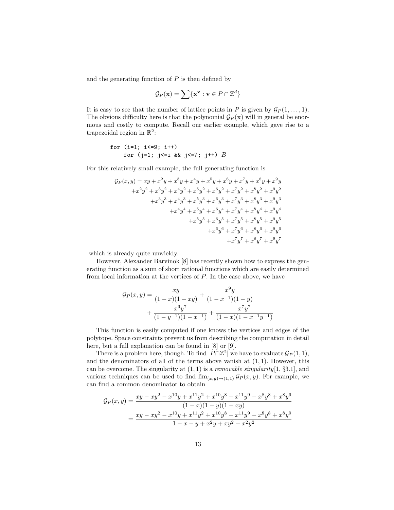and the generating function of  $P$  is then defined by

$$
\mathcal{G}_P(\mathbf{x}) = \sum \{ \mathbf{x}^{\mathbf{v}} : \mathbf{v} \in P \cap \mathbb{Z}^d \}
$$

It is easy to see that the number of lattice points in P is given by  $\mathcal{G}_P(1,\ldots,1)$ . The obvious difficulty here is that the polynomial  $\mathcal{G}_P(\mathbf{x})$  will in general be enormous and costly to compute. Recall our earlier example, which gave rise to a trapezoidal region in  $\mathbb{R}^2$ :

$$
\begin{array}{l} \text{for (i=1; i<=9; i++)}\\ \text{for (j=1; j<=i \& & j<=7; j++)} \ \textit{B} \end{array}
$$

For this relatively small example, the full generating function is

$$
\begin{aligned} \mathcal{G}_P(x,y) = xy + x^2y + x^3y + x^4y + x^5y + x^6y + x^7y + x^8y + x^9y \\ + x^2y^2 + x^3y^2 + x^4y^2 + x^5y^2 + x^6y^2 + x^7y^2 + x^8y^2 + x^9y^2 \\ + x^3y^3 + x^4y^3 + x^5y^3 + x^6y^3 + x^7y^3 + x^8y^3 + x^9y^3 \\ + x^4y^4 + x^5y^4 + x^6y^4 + x^7y^4 + x^8y^4 + x^9y^4 \\ + x^5y^5 + x^6y^5 + x^7y^5 + x^8y^5 + x^9y^5 \\ + x^6y^6 + x^7y^6 + x^8y^6 + x^9y^6 \\ + x^7y^7 + x^8y^7 + x^9y^7 \end{aligned}
$$

which is already quite unwieldy.

However, Alexander Barvinok [8] has recently shown how to express the generating function as a sum of short rational functions which are easily determined from local information at the vertices of  $P$ . In the case above, we have

$$
\mathcal{G}_P(x,y) = \frac{xy}{(1-x)(1-xy)} + \frac{x^9y}{(1-x^{-1})(1-y)} + \frac{x^9y^7}{(1-y^{-1})(1-x^{-1})} + \frac{x^7y^7}{(1-x)(1-x^{-1}y^{-1})}
$$

This function is easily computed if one knows the vertices and edges of the polytope. Space constraints prevent us from describing the computation in detail here, but a full explanation can be found in [8] or [9].

There is a problem here, though. To find  $|P \cap \mathbb{Z}^2|$  we have to evaluate  $\mathcal{G}_P(1,1)$ , and the denominators of all of the terms above vanish at  $(1, 1)$ . However, this can be overcome. The singularity at  $(1, 1)$  is a *removable singularity* [1, §3.1], and various techniques can be used to find  $\lim_{(x,y)\to(1,1)} \mathcal{G}_P(x,y)$ . For example, we can find a common denominator to obtain

$$
\mathcal{G}_P(x,y) = \frac{xy - xy^2 - x^{10}y + x^{11}y^2 + x^{10}y^8 - x^{11}y^9 - x^8y^8 + x^8y^9}{(1-x)(1-y)(1-xy)}
$$

$$
= \frac{xy - xy^2 - x^{10}y + x^{11}y^2 + x^{10}y^8 - x^{11}y^9 - x^8y^8 + x^8y^9}{1 - x - y + x^2y + xy^2 - x^2y^2}
$$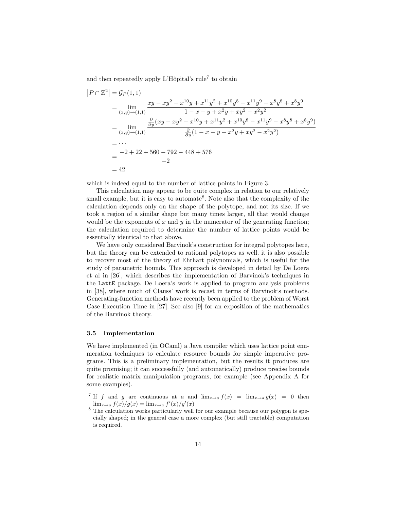and then repeatedly apply L'Hôpital's rule<sup>7</sup> to obtain

$$
|P \cap \mathbb{Z}^2| = \mathcal{G}_P(1, 1)
$$
  
=  $\lim_{(x,y) \to (1,1)} \frac{xy - xy^2 - x^{10}y + x^{11}y^2 + x^{10}y^8 - x^{11}y^9 - x^8y^8 + x^8y^9}{1 - x - y + x^2y + xy^2 - x^2y^2}$   
=  $\lim_{(x,y) \to (1,1)} \frac{\frac{\partial}{\partial y}(xy - xy^2 - x^{10}y + x^{11}y^2 + x^{10}y^8 - x^{11}y^9 - x^8y^8 + x^8y^9)}{\frac{\partial}{\partial y}(1 - x - y + x^2y + xy^2 - x^2y^2)}$   
=  $\cdots$   
=  $\frac{-2 + 22 + 560 - 792 - 448 + 576}{-2}$   
= 42

which is indeed equal to the number of lattice points in Figure 3.

This calculation may appear to be quite complex in relation to our relatively small example, but it is easy to automate<sup>8</sup>. Note also that the complexity of the calculation depends only on the shape of the polytope, and not its size. If we took a region of a similar shape but many times larger, all that would change would be the exponents of  $x$  and  $y$  in the numerator of the generating function; the calculation required to determine the number of lattice points would be essentially identical to that above.

We have only considered Barvinok's construction for integral polytopes here, but the theory can be extended to rational polytopes as well. it is also possible to recover most of the theory of Ehrhart polynomials, which is useful for the study of parametric bounds. This approach is developed in detail by De Loera et al in [26], which describes the implementation of Barvinok's techniques in the LattE package. De Loera's work is applied to program analysis problems in [38], where much of Clauss' work is recast in terms of Barvinok's methods. Generating-function methods have recently been applied to the problem of Worst Case Execution Time in [27]. See also [9] for an exposition of the mathematics of the Barvinok theory.

## 3.5 Implementation

We have implemented (in OCaml) a Java compiler which uses lattice point enumeration techniques to calculate resource bounds for simple imperative programs. This is a preliminary implementation, but the results it produces are quite promising; it can successfully (and automatically) produce precise bounds for realistic matrix manipulation programs, for example (see Appendix A for some examples).

<sup>&</sup>lt;sup>7</sup> If f and g are continuous at a and  $\lim_{x\to a} f(x) = \lim_{x\to a} g(x) = 0$  then  $\lim_{x\to a} f(x)/g(x) = \lim_{x\to a} f'(x)/g'(x)$ 

<sup>&</sup>lt;sup>8</sup> The calculation works particularly well for our example because our polygon is specially shaped; in the general case a more complex (but still tractable) computation is required.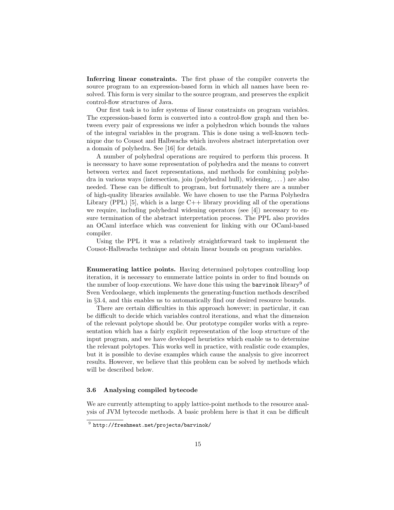Inferring linear constraints. The first phase of the compiler converts the source program to an expression-based form in which all names have been resolved. This form is very similar to the source program, and preserves the explicit control-flow structures of Java.

Our first task is to infer systems of linear constraints on program variables. The expression-based form is converted into a control-flow graph and then between every pair of expressions we infer a polyhedron which bounds the values of the integral variables in the program. This is done using a well-known technique due to Cousot and Halbwachs which involves abstract interpretation over a domain of polyhedra. See [16] for details.

A number of polyhedral operations are required to perform this process. It is necessary to have some representation of polyhedra and the means to convert between vertex and facet representations, and methods for combining polyhedra in various ways (intersection, join (polyhedral hull), widening, . . . ) are also needed. These can be difficult to program, but fortunately there are a number of high-quality libraries available. We have chosen to use the Parma Polyhedra Library (PPL) [5], which is a large  $C++$  library providing all of the operations we require, including polyhedral widening operators (see  $|4|$ ) necessary to ensure termination of the abstract interpretation process. The PPL also provides an OCaml interface which was convenient for linking with our OCaml-based compiler.

Using the PPL it was a relatively straightforward task to implement the Cousot-Halbwachs technique and obtain linear bounds on program variables.

Enumerating lattice points. Having determined polytopes controlling loop iteration, it is necessary to enumerate lattice points in order to find bounds on the number of loop executions. We have done this using the **barvinok** library<sup>9</sup> of Sven Verdoolaege, which implements the generating-function methods described in §3.4, and this enables us to automatically find our desired resource bounds.

There are certain difficulties in this approach however; in particular, it can be difficult to decide which variables control iterations, and what the dimension of the relevant polytope should be. Our prototype compiler works with a representation which has a fairly explicit representation of the loop structure of the input program, and we have developed heuristics which enable us to determine the relevant polytopes. This works well in practice, with realistic code examples, but it is possible to devise examples which cause the analysis to give incorrect results. However, we believe that this problem can be solved by methods which will be described below.

## 3.6 Analysing compiled bytecode

We are currently attempting to apply lattice-point methods to the resource analysis of JVM bytecode methods. A basic problem here is that it can be difficult

 $^9$  http://freshmeat.net/projects/barvinok/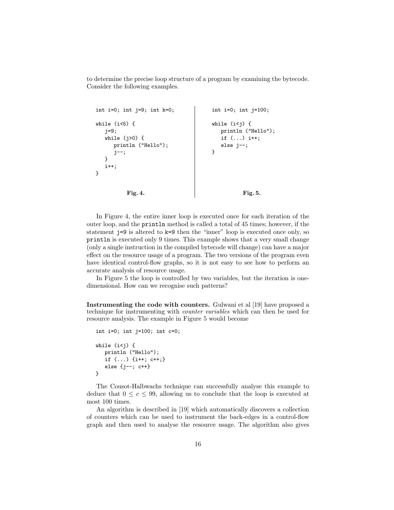to determine the precise loop structure of a program by examining the bytecode. Consider the following examples.

```
int i=0; int j=9; int k=0;
while (i<5) {
   j=9;
   while (j>0) {
      println ("Hello");
      j--;
   }
   i++;
}
          Fig. 4.
                                         int i=0; int j=100;
                                         while (i < j) {
                                            println ("Hello");
                                            if (...) i++;
                                            else j--;
                                         }
                                                    Fig. 5.
```
In Figure 4, the entire inner loop is executed once for each iteration of the outer loop, and the println method is called a total of 45 times; however, if the statement j=9 is altered to k=9 then the "inner" loop is executed once only, so println is executed only 9 times. This example shows that a very small change (only a single instruction in the compiled bytecode will change) can have a major effect on the resource usage of a program. The two versions of the program even have identical control-flow graphs, so it is not easy to see how to perform an accurate analysis of resource usage.

In Figure 5 the loop is controlled by two variables, but the iteration is onedimensional. How can we recognise such patterns?

Instrumenting the code with counters. Gulwani et al [19] have proposed a technique for instrumenting with counter variables which can then be used for resource analysis. The example in Figure 5 would become

```
int i=0; int j=100; int c=0;
while (i < j) {
   println ("Hello");
   if (...) \{i++; c++; \}else {j--; c++}
}
```
The Cousot-Halbwachs technique can successfully analyse this example to deduce that  $0 \leq c \leq 99$ , allowing us to conclude that the loop is executed at most 100 times.

An algorithm is described in [19] which automatically discovers a collection of counters which can be used to instrument the back-edges in a control-flow graph and then used to analyse the resource usage. The algorithm also gives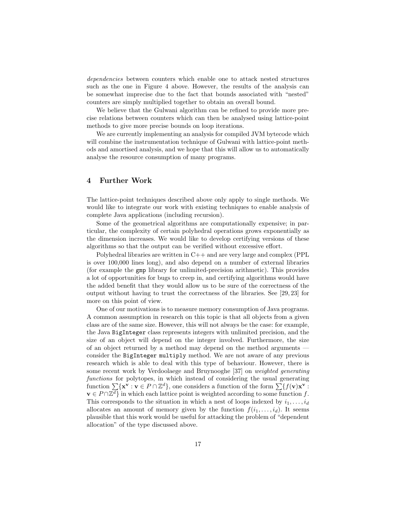dependencies between counters which enable one to attack nested structures such as the one in Figure 4 above. However, the results of the analysis can be somewhat imprecise due to the fact that bounds associated with "nested" counters are simply multiplied together to obtain an overall bound.

We believe that the Gulwani algorithm can be refined to provide more precise relations between counters which can then be analysed using lattice-point methods to give more precise bounds on loop iterations.

We are currently implementing an analysis for compiled JVM bytecode which will combine the instrumentation technique of Gulwani with lattice-point methods and amortised analysis, and we hope that this will allow us to automatically analyse the resource consumption of many programs.

# 4 Further Work

The lattice-point techniques described above only apply to single methods. We would like to integrate our work with existing techniques to enable analysis of complete Java applications (including recursion).

Some of the geometrical algorithms are computationally expensive; in particular, the complexity of certain polyhedral operations grows exponentially as the dimension increases. We would like to develop certifying versions of these algorithms so that the output can be verified without excessive effort.

Polyhedral libraries are written in  $C++$  and are very large and complex (PPL) is over 100,000 lines long), and also depend on a number of external libraries (for example the gmp library for unlimited-precision arithmetic). This provides a lot of opportunities for bugs to creep in, and certifying algorithms would have the added benefit that they would allow us to be sure of the correctness of the output without having to trust the correctness of the libraries. See [29, 23] for more on this point of view.

One of our motivations is to measure memory consumption of Java programs. A common assumption in research on this topic is that all objects from a given class are of the same size. However, this will not always be the case: for example, the Java BigInteger class represents integers with unlimited precision, and the size of an object will depend on the integer involved. Furthermore, the size of an object returned by a method may depend on the method arguments consider the BigInteger multiply method. We are not aware of any previous research which is able to deal with this type of behaviour. However, there is some recent work by Verdoolaege and Bruynooghe [37] on weighted generating functions for polytopes, in which instead of considering the usual generating function  $\sum {\mathbf{x}^{\mathbf{v}} : \mathbf{v} \in P \cap \mathbb{Z}^d}$ , one considers a function of the form  $\sum {\mathbf{f}(\mathbf{v})\mathbf{x}^{\mathbf{v}}}$ .  $\mathbf{v} \in P \cap \mathbb{Z}^d$  in which each lattice point is weighted according to some function f. This corresponds to the situation in which a nest of loops indexed by  $i_1, \ldots, i_d$ allocates an amount of memory given by the function  $f(i_1, \ldots, i_d)$ . It seems plausible that this work would be useful for attacking the problem of "dependent allocation" of the type discussed above.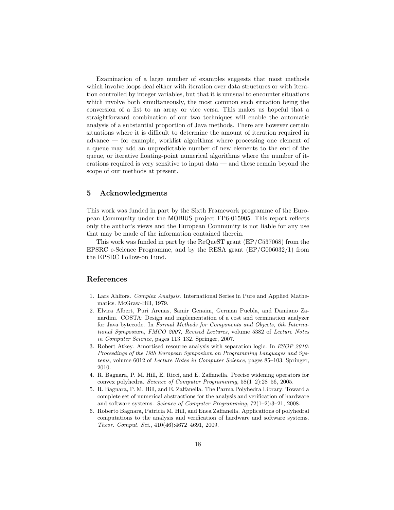Examination of a large number of examples suggests that most methods which involve loops deal either with iteration over data structures or with iteration controlled by integer variables, but that it is unusual to encounter situations which involve both simultaneously, the most common such situation being the conversion of a list to an array or vice versa. This makes us hopeful that a straightforward combination of our two techniques will enable the automatic analysis of a substantial proportion of Java methods. There are however certain situations where it is difficult to determine the amount of iteration required in advance — for example, worklist algorithms where processing one element of a queue may add an unpredictable number of new elements to the end of the queue, or iterative floating-point numerical algorithms where the number of iterations required is very sensitive to input data — and these remain beyond the scope of our methods at present.

# 5 Acknowledgments

This work was funded in part by the Sixth Framework programme of the European Community under the MOBIUS project FP6-015905. This report reflects only the author's views and the European Community is not liable for any use that may be made of the information contained therein.

This work was funded in part by the ReQueST grant (EP/C537068) from the EPSRC e-Science Programme, and by the RESA grant (EP/G006032/1) from the EPSRC Follow-on Fund.

# References

- 1. Lars Ahlfors. Complex Analysis. International Series in Pure and Applied Mathematics. McGraw-Hill, 1979.
- 2. Elvira Albert, Puri Arenas, Samir Genaim, German Puebla, and Damiano Zanardini. COSTA: Design and implementation of a cost and termination analyzer for Java bytecode. In Formal Methods for Components and Objects, 6th International Symposium, FMCO 2007, Revised Lectures, volume 5382 of Lecture Notes in Computer Science, pages 113–132. Springer, 2007.
- 3. Robert Atkey. Amortised resource analysis with separation logic. In ESOP 2010: Proceedings of the 19th European Symposium on Programming Languages and Systems, volume 6012 of Lecture Notes in Computer Science, pages 85–103. Springer, 2010.
- 4. R. Bagnara, P. M. Hill, E. Ricci, and E. Zaffanella. Precise widening operators for convex polyhedra. Science of Computer Programming, 58(1–2):28–56, 2005.
- 5. R. Bagnara, P. M. Hill, and E. Zaffanella. The Parma Polyhedra Library: Toward a complete set of numerical abstractions for the analysis and verification of hardware and software systems. Science of Computer Programming, 72(1–2):3–21, 2008.
- 6. Roberto Bagnara, Patricia M. Hill, and Enea Zaffanella. Applications of polyhedral computations to the analysis and verification of hardware and software systems. Theor. Comput. Sci., 410(46):4672–4691, 2009.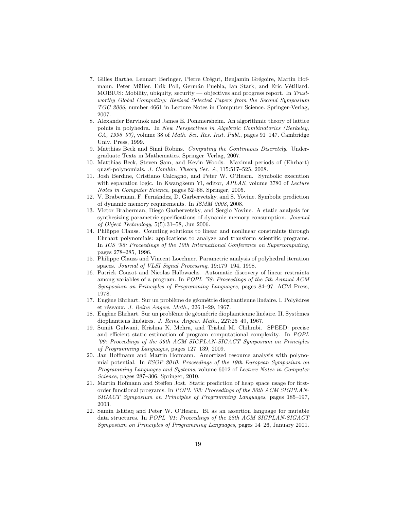- 7. Gilles Barthe, Lennart Beringer, Pierre Crégut, Benjamin Grégoire, Martin Hofmann, Peter Müller, Erik Poll, Germán Puebla, Ian Stark, and Eric Vétillard. MOBIUS: Mobility, ubiquity, security — objectives and progress report. In Trustworthy Global Computing: Revised Selected Papers from the Second Symposium TGC 2006, number 4661 in Lecture Notes in Computer Science. Springer-Verlag, 2007.
- 8. Alexander Barvinok and James E. Pommersheim. An algorithmic theory of lattice points in polyhedra. In New Perspectives in Algebraic Combinatorics (Berkeley, CA, 1996–97), volume 38 of Math. Sci. Res. Inst. Publ., pages 91–147. Cambridge Univ. Press, 1999.
- 9. Matthias Beck and Sinai Robins. Computing the Continuous Discretely. Undergraduate Texts in Mathematics. Springer–Verlag, 2007.
- 10. Matthias Beck, Steven Sam, and Kevin Woods. Maximal periods of (Ehrhart) quasi-polynomials. J. Combin. Theory Ser. A, 115:517–525, 2008.
- 11. Josh Berdine, Cristiano Calcagno, and Peter W. O'Hearn. Symbolic execution with separation logic. In Kwangkeun Yi, editor, *APLAS*, volume 3780 of *Lecture* Notes in Computer Science, pages 52–68. Springer, 2005.
- 12. V. Braberman, F. Fern´andez, D. Garbervetsky, and S. Yovine. Symbolic prediction of dynamic memory requirements. In ISMM 2008, 2008.
- 13. Victor Braberman, Diego Garbervetsky, and Sergio Yovine. A static analysis for synthesizing parametric specifications of dynamic memory consumption. Journal of Object Technology, 5(5):31–58, Jun 2006.
- 14. Philippe Clauss. Counting solutions to linear and nonlinear constraints through Ehrhart polynomials: applications to analyze and transform scientific programs. In ICS '96: Proceedings of the 10th International Conference on Supercomputing, pages 278–285, 1996.
- 15. Philippe Clauss and Vincent Loechner. Parametric analysis of polyhedral iteration spaces. Journal of VLSI Signal Processing, 19:179–194, 1998.
- 16. Patrick Cousot and Nicolas Halbwachs. Automatic discovery of linear restraints among variables of a program. In POPL '78: Proceedings of the 5th Annual ACM Symposium on Principles of Programming Languages, pages 84–97. ACM Press, 1978.
- 17. Eugène Ehrhart. Sur un problème de géométrie diophantienne linéaire. I. Polyèdres et réseaux. *J. Reine Angew. Math.*,  $226:1-29$ , 1967.
- 18. Eugène Ehrhart. Sur un problème de géométrie diophantienne linéaire. II. Systèmes diophantiens linéaires. J. Reine Angew. Math., 227:25–49, 1967.
- 19. Sumit Gulwani, Krishna K. Mehra, and Trishul M. Chilimbi. SPEED: precise and efficient static estimation of program computational complexity. In POPL '09: Proceedings of the 36th ACM SIGPLAN-SIGACT Symposium on Principles of Programming Languages, pages 127–139, 2009.
- 20. Jan Hoffmann and Martin Hofmann. Amortized resource analysis with polynomial potential. In ESOP 2010: Proceedings of the 19th European Symposium on Programming Languages and Systems, volume 6012 of Lecture Notes in Computer Science, pages 287–306. Springer, 2010.
- 21. Martin Hofmann and Steffen Jost. Static prediction of heap space usage for firstorder functional programs. In POPL '03: Proceedings of the 30th ACM SIGPLAN-SIGACT Symposium on Principles of Programming Languages, pages 185–197, 2003.
- 22. Samin Ishtiaq and Peter W. O'Hearn. BI as an assertion language for mutable data structures. In POPL '01: Proceedings of the 28th ACM SIGPLAN-SIGACT Symposium on Principles of Programming Languages, pages 14–26, January 2001.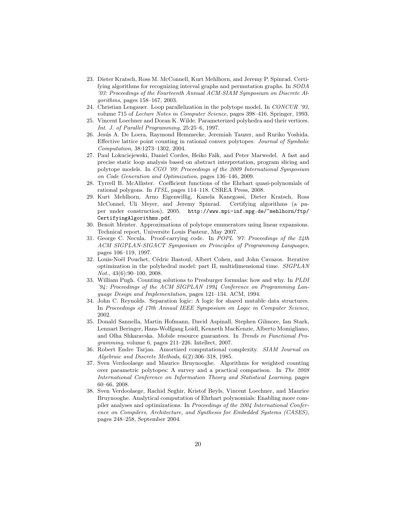- 23. Dieter Kratsch, Ross M. McConnell, Kurt Mehlhorn, and Jeremy P. Spinrad. Certifying algorithms for recognizing interval graphs and permutation graphs. In SODA '03: Proceedings of the Fourteenth Annual ACM-SIAM Symposium on Discrete Algorithms, pages 158–167, 2003.
- 24. Christian Lengauer. Loop parallelization in the polytope model. In CONCUR '93, volume 715 of Lecture Notes in Computer Science, pages 398–416. Springer, 1993.
- 25. Vincent Loechner and Doran K. Wilde. Parameterized polyhedra and their vertices. Int. J. of Parallel Programming, 25:25–6, 1997.
- 26. Jesús A. De Loera, Raymond Hemmecke, Jeremiah Tauzer, and Ruriko Yoshida. Effective lattice point counting in rational convex polytopes. Journal of Symbolic Computation, 38:1273–1302, 2004.
- 27. Paul Lokuciejewski, Daniel Cordes, Heiko Falk, and Peter Marwedel. A fast and precise static loop analysis based on abstract interpretation, program slicing and polytope models. In CGO '09: Proceedings of the 2009 International Symposium on Code Generation and Optimization, pages 136–146, 2009.
- 28. Tyrrell B. McAllister. Coefficient functions of the Ehrhart quasi-polynomials of rational polygons. In ITSL, pages 114–118. CSREA Press, 2008.
- 29. Kurt Mehlhorn, Arno Eigenwillig, Kanela Kanegossi, Dieter Kratsch, Ross McConnel, Uli Meyer, and Jeremy Spinrad. Certifying algorithms (a paper under construction), 2005. http://www.mpi-inf.mpg.de/~mehlhorn/ftp/ CertifyingAlgorithms.pdf.
- 30. Benoˆıt Meister. Approximations of polytope enumerators using linear expansions. Technical report, Universite Louis Pasteur, May 2007.
- 31. George C. Necula. Proof-carrying code. In POPL '97: Proceedings of the 24th ACM SIGPLAN-SIGACT Symposium on Principles of Programming Languages, pages 106–119, 1997.
- 32. Louis-Noël Pouchet, Cédric Bastoul, Albert Cohen, and John Cavazos. Iterative optimization in the polyhedral model: part II, multidimensional time. SIGPLAN Not., 43(6):90–100, 2008.
- 33. William Pugh. Counting solutions to Presburger formulas: how and why. In PLDI '94: Proceedings of the ACM SIGPLAN 1994 Conference on Programming Language Design and Implementation, pages 121–134. ACM, 1994.
- 34. John C. Reynolds. Separation logic: A logic for shared mutable data structures. In Proceedings of 17th Annual IEEE Symposium on Logic in Computer Science, 2002.
- 35. Donald Sannella, Martin Hofmann, David Aspinall, Stephen Gilmore, Ian Stark, Lennart Beringer, Hans-Wolfgang Loidl, Kenneth MacKenzie, Alberto Momigliano, and Olha Shkaravska. Mobile resource guarantees. In Trends in Functional Programming, volume 6, pages 211–226. Intellect, 2007.
- 36. Robert Endre Tarjan. Amortized computational complexity. SIAM Journal on Algebraic and Discrete Methods, 6(2):306–318, 1985.
- 37. Sven Verdoolaege and Maurice Bruynooghe. Algorithms for weighted counting over parametric polytopes: A survey and a practical comparison. In The 2008 International Conference on Information Theory and Statistical Learning, pages 60–66, 2008.
- 38. Sven Verdoolaege, Rachid Seghir, Kristof Beyls, Vincent Loechner, and Maurice Bruynooghe. Analytical computation of Ehrhart polynomials: Enabling more compiler analyses and optimizations. In Proceedings of the 2004 International Conference on Compilers, Architecture, and Synthesis for Embedded Systems (CASES), pages 248–258, September 2004.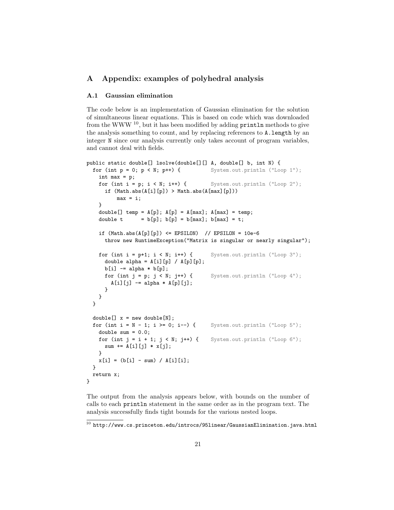# A Appendix: examples of polyhedral analysis

## A.1 Gaussian elimination

The code below is an implementation of Gaussian elimination for the solution of simultaneous linear equations. This is based on code which was downloaded from the WWW  $^{10}$ , but it has been modified by adding **println** methods to give the analysis something to count, and by replacing references to A.length by an integer N since our analysis currently only takes account of program variables, and cannot deal with fields.

```
public static double[] lsolve(double[][] A, double[] b, int N) {
 for (int p = 0; p < N; p++) { System.out.println ("Loop 1");
   int max = p;
   for (int i = p; i < N; i++) { System.out.println ("Loop 2");
     if (Math.abs(A[i][p]) > Math.abs(A[max][p]))max = i:
   }
   double[] temp = A[p]; A[p] = A[\max]; A[\max] = temp;
   double t = b[p]; b[p] = b[\max]; b[\max] = t;
   if (Math.abs(A[p][p]) \leq EPSILON) // EPSILON = 10e-6
     throw new RuntimeException("Matrix is singular or nearly singular");
   for (int i = p+1; i < N; i++) { System.out.println ("Loop 3");
     double alpha = A[i][p] / A[p][p];
     b[i] -= alpha * b[p];
     for (int j = p; j < N; j++) { System.out.println ("Loop 4");
       A[i][j] -= alpha * A[p][j];}
   }
 }
 double[] x = new double[N];for (int i = N - 1; i \ge 0; i - j { System.out.println ("Loop 5");
   double sum = 0.0;
   for (int j = i + 1; j < N; j++) { System.out.println ("Loop 6");
     sum += A[i][j] * x[j];
   }
   x[i] = (b[i] - sum) / A[i][i];}
 return x;
}
```
The output from the analysis appears below, with bounds on the number of calls to each println statement in the same order as in the program text. The analysis successfully finds tight bounds for the various nested loops.

 $^{10}$  http://www.cs.princeton.edu/introcs/951inear/GaussianElimination.java.html